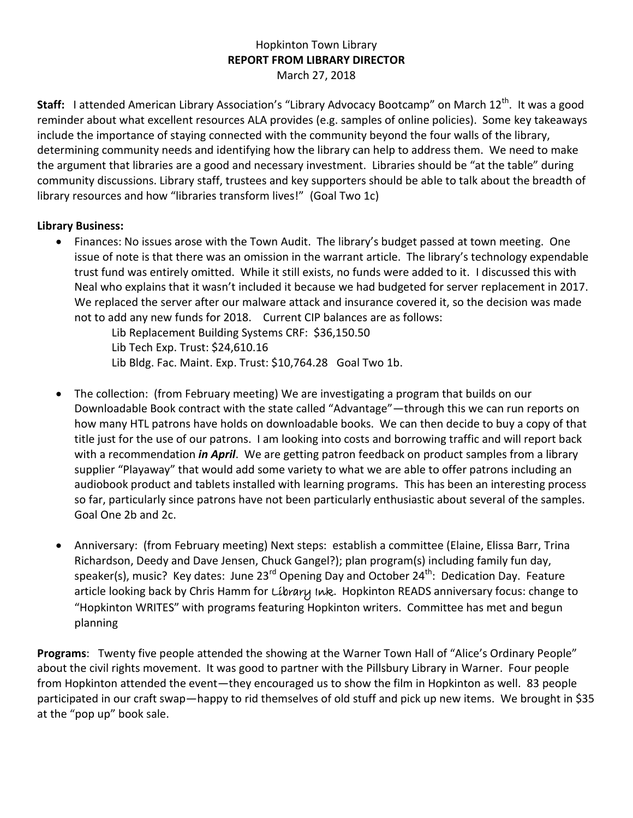## Hopkinton Town Library **REPORT FROM LIBRARY DIRECTOR** March 27, 2018

Staff: Iattended American Library Association's "Library Advocacy Bootcamp" on March 12<sup>th</sup>. It was a good reminder about what excellent resources ALA provides (e.g. samples of online policies). Some key takeaways include the importance of staying connected with the community beyond the four walls of the library, determining community needs and identifying how the library can help to address them. We need to make the argument that libraries are a good and necessary investment. Libraries should be "at the table" during community discussions. Library staff, trustees and key supporters should be able to talk about the breadth of library resources and how "libraries transform lives!" (Goal Two 1c)

## **Library Business:**

 Finances: No issues arose with the Town Audit. The library's budget passed at town meeting. One issue of note is that there was an omission in the warrant article. The library's technology expendable trust fund was entirely omitted. While it still exists, no funds were added to it. I discussed this with Neal who explains that it wasn't included it because we had budgeted for server replacement in 2017. We replaced the server after our malware attack and insurance covered it, so the decision was made not to add any new funds for 2018. Current CIP balances are as follows:

Lib Replacement Building Systems CRF: \$36,150.50 Lib Tech Exp. Trust: \$24,610.16 Lib Bldg. Fac. Maint. Exp. Trust: \$10,764.28 Goal Two 1b.

- The collection: (from February meeting) We are investigating a program that builds on our Downloadable Book contract with the state called "Advantage"—through this we can run reports on how many HTL patrons have holds on downloadable books. We can then decide to buy a copy of that title just for the use of our patrons. I am looking into costs and borrowing traffic and will report back with a recommendation *in April*. We are getting patron feedback on product samples from a library supplier "Playaway" that would add some variety to what we are able to offer patrons including an audiobook product and tablets installed with learning programs. This has been an interesting process so far, particularly since patrons have not been particularly enthusiastic about several of the samples. Goal One 2b and 2c.
- Anniversary:(from February meeting) Next steps: establish a committee (Elaine, Elissa Barr, Trina Richardson, Deedy and Dave Jensen, Chuck Gangel?); plan program(s) including family fun day, speaker(s), music? Key dates: June 23<sup>rd</sup> Opening Day and October 24<sup>th</sup>: Dedication Day. Feature article looking back by Chris Hamm for Líbrary Ink. Hopkinton READS anniversary focus: change to "Hopkinton WRITES" with programs featuring Hopkinton writers. Committee has met and begun planning

**Programs**: Twenty five people attended the showing at the Warner Town Hall of "Alice's Ordinary People" about the civil rights movement. It was good to partner with the Pillsbury Library in Warner. Four people from Hopkinton attended the event—they encouraged us to show the film in Hopkinton as well. 83 people participated in our craft swap—happy to rid themselves of old stuff and pick up new items. We brought in \$35 at the "pop up" book sale.